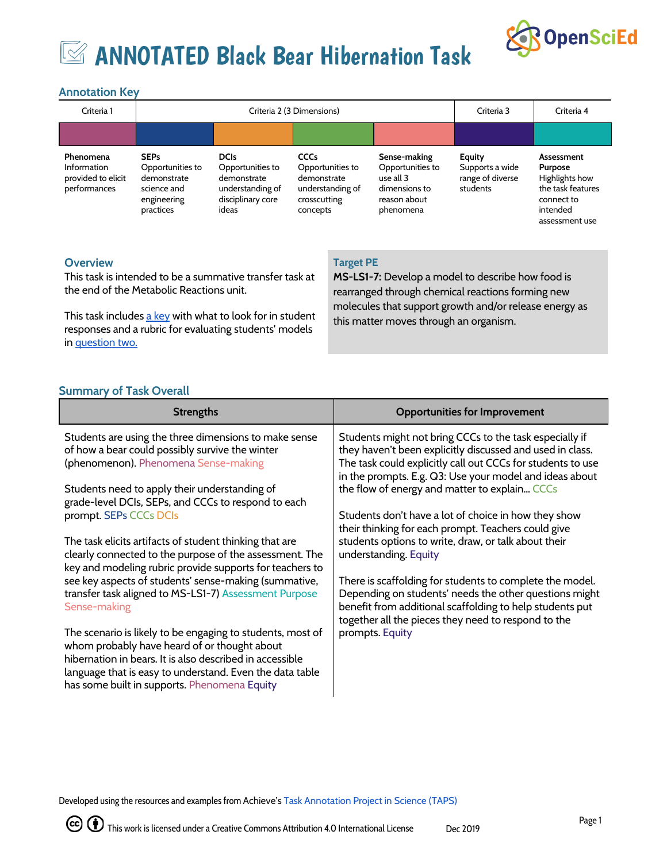

# **EX ANNOTATED Black Bear Hibernation Task**

## **Annotation Key**

| Criteria 1                                                     | Criteria 2 (3 Dimensions)                                                                 |                                                                                                  |                                                                                                |                                                                                             | Criteria 3                                                | Criteria 4                                                                                               |
|----------------------------------------------------------------|-------------------------------------------------------------------------------------------|--------------------------------------------------------------------------------------------------|------------------------------------------------------------------------------------------------|---------------------------------------------------------------------------------------------|-----------------------------------------------------------|----------------------------------------------------------------------------------------------------------|
|                                                                |                                                                                           |                                                                                                  |                                                                                                |                                                                                             |                                                           |                                                                                                          |
| Phenomena<br>Information<br>provided to elicit<br>performances | <b>SEPs</b><br>Opportunities to<br>demonstrate<br>science and<br>engineering<br>practices | <b>DCIs</b><br>Opportunities to<br>demonstrate<br>understanding of<br>disciplinary core<br>ideas | <b>CCCs</b><br>Opportunities to<br>demonstrate<br>understanding of<br>crosscutting<br>concepts | Sense-making<br>Opportunities to<br>use all 3<br>dimensions to<br>reason about<br>phenomena | Equity<br>Supports a wide<br>range of diverse<br>students | Assessment<br>Purpose<br>Highlights how<br>the task features<br>connect to<br>intended<br>assessment use |

#### **Overview**

This task is intended to be a summative transfer task at the end of the Metabolic Reactions unit.

This task includes a [key](https://docs.google.com/document/d/1Go-E7KM3xBhGaeiO1h0qZA5WHvwcT3rH8Gb5Zu-8YwQ/edit) with what to look for in student responses and a rubric for evaluating students' models in [question](https://docs.google.com/document/d/15Yqlv0-uWe_1brFjcjbDwhbf9lCQpYmDiiZOLBn3qsE/edit) two.

#### **Target PE**

**MS-LS1-7:** Develop a model to describe how food is rearranged through chemical reactions forming new molecules that support growth and/or release energy as this matter moves through an organism.

#### **Summary of Task Overall**

| <b>Strengths</b>                                                                                                                                                                                                                                                                   | <b>Opportunities for Improvement</b>                                                                                                                                                                                                           |
|------------------------------------------------------------------------------------------------------------------------------------------------------------------------------------------------------------------------------------------------------------------------------------|------------------------------------------------------------------------------------------------------------------------------------------------------------------------------------------------------------------------------------------------|
| Students are using the three dimensions to make sense<br>of how a bear could possibly survive the winter<br>(phenomenon). Phenomena Sense-making                                                                                                                                   | Students might not bring CCCs to the task especially if<br>they haven't been explicitly discussed and used in class.<br>The task could explicitly call out CCCs for students to use<br>in the prompts. E.g. Q3: Use your model and ideas about |
| Students need to apply their understanding of<br>grade-level DCIs, SEPs, and CCCs to respond to each                                                                                                                                                                               | the flow of energy and matter to explain CCCs                                                                                                                                                                                                  |
| prompt. SEPs CCCs DCIs                                                                                                                                                                                                                                                             | Students don't have a lot of choice in how they show<br>their thinking for each prompt. Teachers could give                                                                                                                                    |
| The task elicits artifacts of student thinking that are<br>clearly connected to the purpose of the assessment. The<br>key and modeling rubric provide supports for teachers to                                                                                                     | students options to write, draw, or talk about their<br>understanding. Equity                                                                                                                                                                  |
| see key aspects of students' sense-making (summative,<br>transfer task aligned to MS-LS1-7) Assessment Purpose<br>Sense-making                                                                                                                                                     | There is scaffolding for students to complete the model.<br>Depending on students' needs the other questions might<br>benefit from additional scaffolding to help students put<br>together all the pieces they need to respond to the          |
| The scenario is likely to be engaging to students, most of<br>whom probably have heard of or thought about<br>hibernation in bears. It is also described in accessible<br>language that is easy to understand. Even the data table<br>has some built in supports. Phenomena Equity | prompts. Equity                                                                                                                                                                                                                                |

Developed using the resources and examples from Achieve's Task [Annotation](https://www.achieve.org/our-initiatives/equip/tools-subject/science/task-annotation-project-science) Project in Science (TAPS)

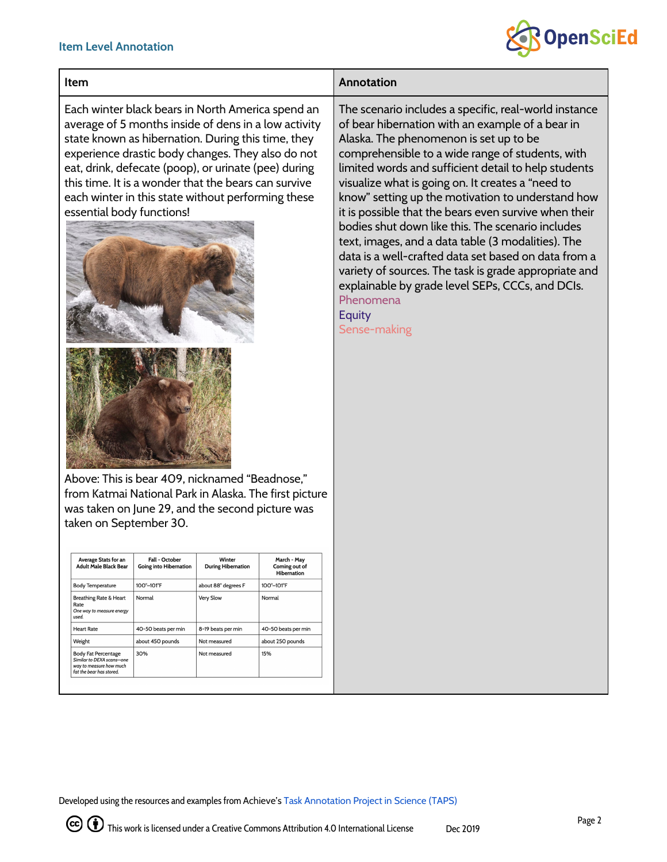#### **Item Level Annotation**



### **Item Annotation**

Each winter black bears in North America spend an average of 5 months inside of dens in a low activity state known as hibernation. During this time, they experience drastic body changes. They also do not eat, drink, defecate (poop), or urinate (pee) during this time. It is a wonder that the bears can survive each winter in this state without performing these essential body functions!



Above: This is bear 409, nicknamed "Beadnose," from Katmai National Park in Alaska. The first picture was taken on June 29, and the second picture was taken on September 30.

| <b>Average Stats for an</b><br><b>Adult Male Black Bear</b>                                                    | Fall - October<br><b>Going into Hibernation</b> | Winter<br><b>During Hibernation</b> | March - May<br>Coming out of<br><b>Hibernation</b> |
|----------------------------------------------------------------------------------------------------------------|-------------------------------------------------|-------------------------------------|----------------------------------------------------|
| <b>Body Temperature</b>                                                                                        | 100°-101°F                                      | about 88° degrees F                 | 100°-101°F                                         |
| <b>Breathing Rate &amp; Heart</b><br>Rate<br>One way to measure energy<br>used.                                | Normal                                          | Very Slow                           | Normal                                             |
| <b>Heart Rate</b>                                                                                              | 40-50 beats per min                             | 8-19 beats per min                  | 40-50 beats per min                                |
| Weight                                                                                                         | about 450 pounds                                | Not measured                        | about 250 pounds                                   |
| <b>Body Fat Percentage</b><br>Similar to DEXA scans-one<br>way to measure how much<br>fat the bear has stored. | 30%                                             | Not measured                        | 15%                                                |

The scenario includes a specific, real-world instance of bear hibernation with an example of a bear in Alaska. The phenomenon is set up to be comprehensible to a wide range of students, with limited words and sufficient detail to help students visualize what is going on. It creates a "need to know" setting up the motivation to understand how it is possible that the bears even survive when their bodies shut down like this. The scenario includes text, images, and a data table (3 modalities). The data is a well-crafted data set based on data from a variety of sources. The task is grade appropriate and explainable by grade level SEPs, CCCs, and DCIs. Phenomena **Equity** Sense-making

Developed using the resources and examples from Achieve's Task [Annotation](https://www.achieve.org/our-initiatives/equip/tools-subject/science/task-annotation-project-science) Project in Science (TAPS)

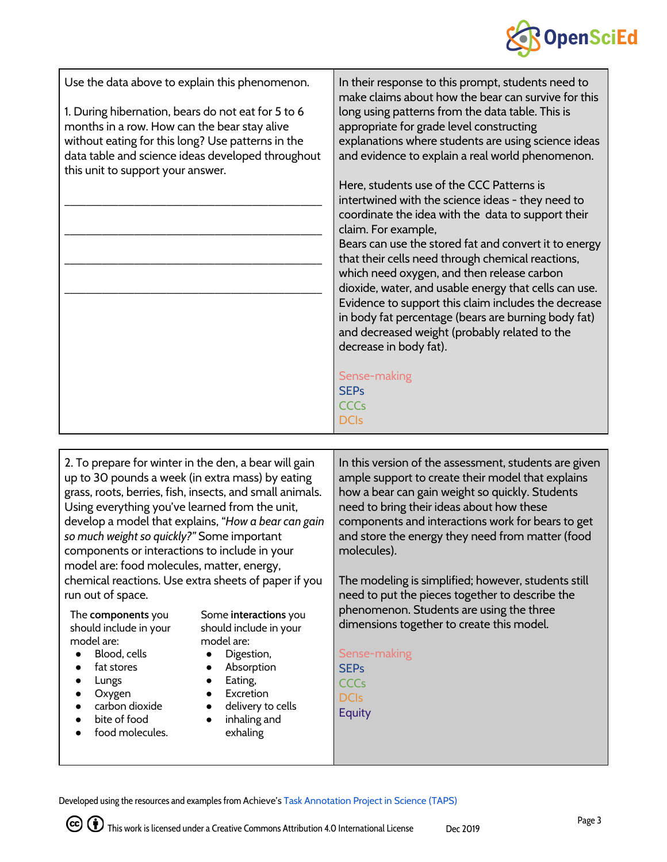

| Use the data above to explain this phenomenon.     | In their response to this prompt, students need to                                                                                                                                                                                                                                                                                                                                                                                                                                                                                                                                                                                               |
|----------------------------------------------------|--------------------------------------------------------------------------------------------------------------------------------------------------------------------------------------------------------------------------------------------------------------------------------------------------------------------------------------------------------------------------------------------------------------------------------------------------------------------------------------------------------------------------------------------------------------------------------------------------------------------------------------------------|
| 1. During hibernation, bears do not eat for 5 to 6 | make claims about how the bear can survive for this                                                                                                                                                                                                                                                                                                                                                                                                                                                                                                                                                                                              |
| months in a row. How can the bear stay alive       | long using patterns from the data table. This is                                                                                                                                                                                                                                                                                                                                                                                                                                                                                                                                                                                                 |
| without eating for this long? Use patterns in the  | appropriate for grade level constructing                                                                                                                                                                                                                                                                                                                                                                                                                                                                                                                                                                                                         |
| data table and science ideas developed throughout  | explanations where students are using science ideas                                                                                                                                                                                                                                                                                                                                                                                                                                                                                                                                                                                              |
| this unit to support your answer.                  | and evidence to explain a real world phenomenon.                                                                                                                                                                                                                                                                                                                                                                                                                                                                                                                                                                                                 |
|                                                    | Here, students use of the CCC Patterns is<br>intertwined with the science ideas - they need to<br>coordinate the idea with the data to support their<br>claim. For example,<br>Bears can use the stored fat and convert it to energy<br>that their cells need through chemical reactions,<br>which need oxygen, and then release carbon<br>dioxide, water, and usable energy that cells can use.<br>Evidence to support this claim includes the decrease<br>in body fat percentage (bears are burning body fat)<br>and decreased weight (probably related to the<br>decrease in body fat).<br>Sense-making<br><b>SEPs</b><br>CCCs<br><b>DCIs</b> |

2. To prepare for winter in the den, a bear will gain up to 30 pounds a week (in extra mass) by eating grass, roots, berries, fish, insects, and small animals. Using everything you've learned from the unit, develop a model that explains, "*How a bear can gain so much weight so quickly?"* Some important components or interactions to include in your model are: food molecules, matter, energy, chemical reactions. Use extra sheets of paper if you run out of space. In this version of the assessment, students are given ample support to create their model that explains how a bear can gain weight so quickly. Students need to bring their ideas about how these components and interactions work for bears to get and store the energy they need from matter (food molecules). The modeling is simplified; however, students still need to put the pieces together to describe the phenomenon. Students are using the three

The **components** you should include in your model are:

- Blood, cells
- fat stores
- Lungs
- **Oxygen**
- carbon dioxide
- bite of food
- food molecules.

Some **interactions** you should include in your model are:

- Digestion,
- Absorption
- Eating,
- Excretion
- delivery to cells
- inhaling and exhaling

Sense-making SEPs **CCC<sub>s</sub>** 

dimensions together to create this model.

DCIs

Equity

Developed using the resources and examples from Achieve's Task [Annotation](https://www.achieve.org/our-initiatives/equip/tools-subject/science/task-annotation-project-science) Project in Science (TAPS)